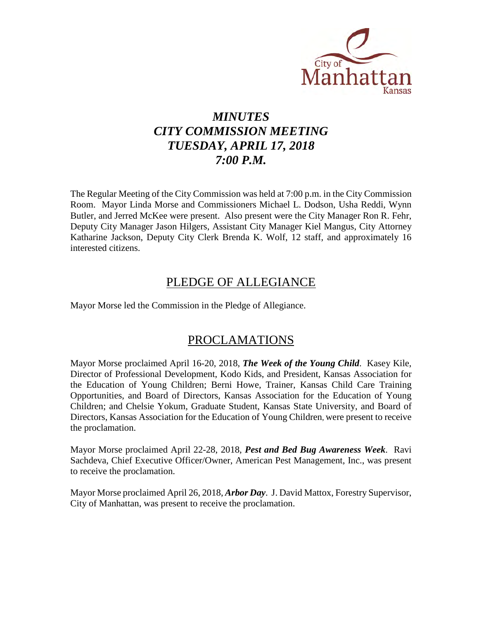

# *MINUTES CITY COMMISSION MEETING TUESDAY, APRIL 17, 2018 7:00 P.M.*

The Regular Meeting of the City Commission was held at 7:00 p.m. in the City Commission Room. Mayor Linda Morse and Commissioners Michael L. Dodson, Usha Reddi, Wynn Butler, and Jerred McKee were present. Also present were the City Manager Ron R. Fehr, Deputy City Manager Jason Hilgers, Assistant City Manager Kiel Mangus, City Attorney Katharine Jackson, Deputy City Clerk Brenda K. Wolf, 12 staff, and approximately 16 interested citizens.

# PLEDGE OF ALLEGIANCE

Mayor Morse led the Commission in the Pledge of Allegiance.

# PROCLAMATIONS

Mayor Morse proclaimed April 16-20, 2018, *The Week of the Young Child*. Kasey Kile, Director of Professional Development, Kodo Kids, and President, Kansas Association for the Education of Young Children; Berni Howe, Trainer, Kansas Child Care Training Opportunities, and Board of Directors, Kansas Association for the Education of Young Children; and Chelsie Yokum, Graduate Student, Kansas State University, and Board of Directors, Kansas Association for the Education of Young Children, were present to receive the proclamation.

Mayor Morse proclaimed April 22-28, 2018, *Pest and Bed Bug Awareness Week*. Ravi Sachdeva, Chief Executive Officer/Owner, American Pest Management, Inc., was present to receive the proclamation.

Mayor Morse proclaimed April 26, 2018, *Arbor Day*. J. David Mattox, Forestry Supervisor, City of Manhattan, was present to receive the proclamation.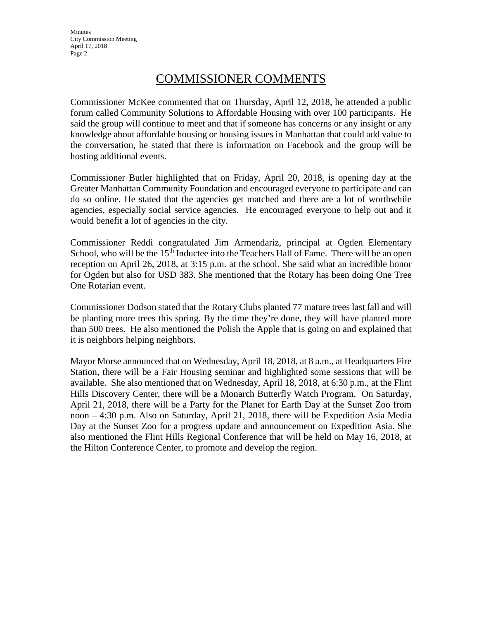# COMMISSIONER COMMENTS

Commissioner McKee commented that on Thursday, April 12, 2018, he attended a public forum called Community Solutions to Affordable Housing with over 100 participants. He said the group will continue to meet and that if someone has concerns or any insight or any knowledge about affordable housing or housing issues in Manhattan that could add value to the conversation, he stated that there is information on Facebook and the group will be hosting additional events.

Commissioner Butler highlighted that on Friday, April 20, 2018, is opening day at the Greater Manhattan Community Foundation and encouraged everyone to participate and can do so online. He stated that the agencies get matched and there are a lot of worthwhile agencies, especially social service agencies. He encouraged everyone to help out and it would benefit a lot of agencies in the city.

Commissioner Reddi congratulated Jim Armendariz, principal at Ogden Elementary School, who will be the 15<sup>th</sup> Inductee into the Teachers Hall of Fame. There will be an open reception on April 26, 2018, at 3:15 p.m. at the school. She said what an incredible honor for Ogden but also for USD 383. She mentioned that the Rotary has been doing One Tree One Rotarian event.

Commissioner Dodson stated that the Rotary Clubs planted 77 mature trees last fall and will be planting more trees this spring. By the time they're done, they will have planted more than 500 trees. He also mentioned the Polish the Apple that is going on and explained that it is neighbors helping neighbors.

Mayor Morse announced that on Wednesday, April 18, 2018, at 8 a.m., at Headquarters Fire Station, there will be a Fair Housing seminar and highlighted some sessions that will be available. She also mentioned that on Wednesday, April 18, 2018, at 6:30 p.m., at the Flint Hills Discovery Center, there will be a Monarch Butterfly Watch Program. On Saturday, April 21, 2018, there will be a Party for the Planet for Earth Day at the Sunset Zoo from noon – 4:30 p.m. Also on Saturday, April 21, 2018, there will be Expedition Asia Media Day at the Sunset Zoo for a progress update and announcement on Expedition Asia. She also mentioned the Flint Hills Regional Conference that will be held on May 16, 2018, at the Hilton Conference Center, to promote and develop the region.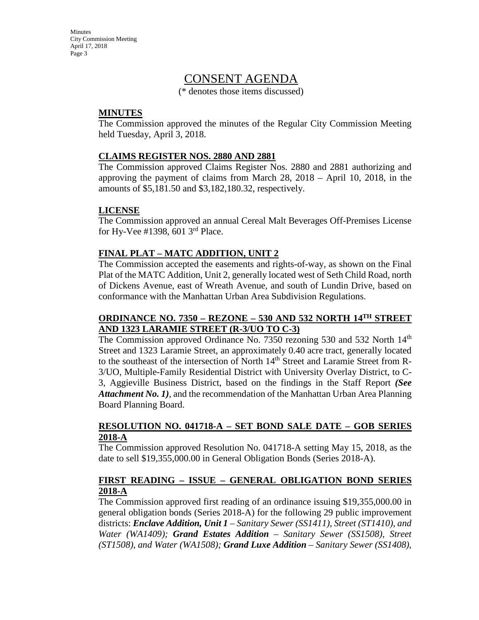# CONSENT AGENDA

(\* denotes those items discussed)

## **MINUTES**

The Commission approved the minutes of the Regular City Commission Meeting held Tuesday, April 3, 2018.

#### **CLAIMS REGISTER NOS. 2880 AND 2881**

The Commission approved Claims Register Nos. 2880 and 2881 authorizing and approving the payment of claims from March 28, 2018 – April 10, 2018, in the amounts of \$5,181.50 and \$3,182,180.32, respectively.

#### **LICENSE**

The Commission approved an annual Cereal Malt Beverages Off-Premises License for Hy-Vee #1398, 601 3rd Place.

## **FINAL PLAT – MATC ADDITION, UNIT 2**

The Commission accepted the easements and rights-of-way, as shown on the Final Plat of the MATC Addition, Unit 2, generally located west of Seth Child Road, north of Dickens Avenue, east of Wreath Avenue, and south of Lundin Drive, based on conformance with the Manhattan Urban Area Subdivision Regulations.

## **ORDINANCE NO. 7350 – REZONE – 530 AND 532 NORTH 14TH STREET AND 1323 LARAMIE STREET (R-3/UO TO C-3)**

The Commission approved Ordinance No. 7350 rezoning 530 and 532 North 14<sup>th</sup> Street and 1323 Laramie Street, an approximately 0.40 acre tract, generally located to the southeast of the intersection of North 14<sup>th</sup> Street and Laramie Street from R-3/UO, Multiple-Family Residential District with University Overlay District, to C-3, Aggieville Business District, based on the findings in the Staff Report *(See Attachment No. 1)*, and the recommendation of the Manhattan Urban Area Planning Board Planning Board.

#### **RESOLUTION NO. 041718-A – SET BOND SALE DATE – GOB SERIES 2018-A**

The Commission approved Resolution No. 041718-A setting May 15, 2018, as the date to sell \$19,355,000.00 in General Obligation Bonds (Series 2018-A).

# **FIRST READING – ISSUE – GENERAL OBLIGATION BOND SERIES 2018-A**

The Commission approved first reading of an ordinance issuing \$19,355,000.00 in general obligation bonds (Series 2018-A) for the following 29 public improvement districts: *Enclave Addition, Unit 1 – Sanitary Sewer (SS1411), Street (ST1410), and Water (WA1409); Grand Estates Addition – Sanitary Sewer (SS1508), Street (ST1508), and Water (WA1508); Grand Luxe Addition* – *Sanitary Sewer (SS1408),*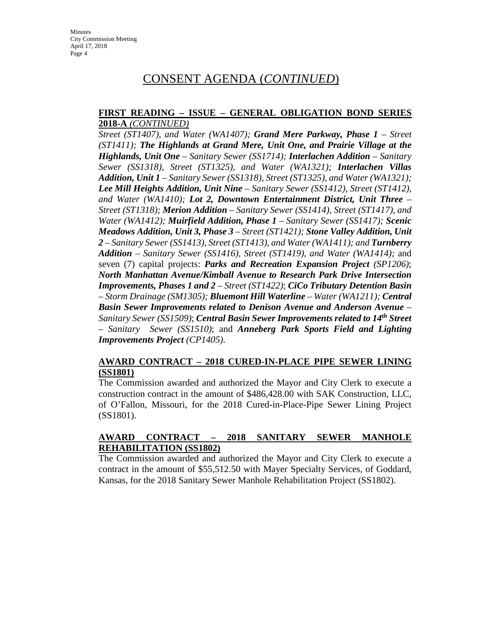#### **FIRST READING – ISSUE – GENERAL OBLIGATION BOND SERIES 2018-A** *(CONTINUED)*

*Street (ST1407), and Water (WA1407); Grand Mere Parkway, Phase 1* – *Street (ST1411); The Highlands at Grand Mere, Unit One, and Prairie Village at the Highlands, Unit One* – *Sanitary Sewer (SS1714); Interlachen Addition – Sanitary Sewer (SS1318), Street (ST1325), and Water (WA1321); Interlachen Villas Addition, Unit 1 – Sanitary Sewer (SS1318), Street (ST1325), and Water (WA1321); Lee Mill Heights Addition, Unit Nine – Sanitary Sewer (SS1412), Street (ST1412), and Water (WA1410); Lot 2, Downtown Entertainment District, Unit Three – Street (ST1318); Merion Addition – Sanitary Sewer (SS1414), Street (ST1417), and Water (WA1412); Muirfield Addition, Phase 1 – Sanitary Sewer (SS1417); Scenic Meadows Addition, Unit 3, Phase 3 – Street (ST1421); Stone Valley Addition, Unit*  2 – Sanitary Sewer (SS1413), Street (ST1413), and Water (WA1411); and **Turnberry** *Addition – Sanitary Sewer (SS1416), Street (ST1419), and Water (WA1414);* and seven (7) capital projects: *Parks and Recreation Expansion Project (SP1206)*; *North Manhattan Avenue/Kimball Avenue to Research Park Drive Intersection Improvements, Phases 1 and 2 – Street (ST1422)*; *CiCo Tributary Detention Basin – Storm Drainage (SM1305); Bluemont Hill Waterline – Water (WA1211); Central Basin Sewer Improvements related to Denison Avenue and Anderson Avenue – Sanitary Sewer (SS1509)*; *Central Basin Sewer Improvements related to 14th Street – Sanitary Sewer (SS1510)*; and *Anneberg Park Sports Field and Lighting Improvements Project (CP1405)*.

# **AWARD CONTRACT – 2018 CURED-IN-PLACE PIPE SEWER LINING (SS1801)**

The Commission awarded and authorized the Mayor and City Clerk to execute a construction contract in the amount of \$486,428.00 with SAK Construction, LLC, of O'Fallon, Missouri, for the 2018 Cured-in-Place-Pipe Sewer Lining Project (SS1801).

## **AWARD CONTRACT – 2018 SANITARY SEWER MANHOLE REHABILITATION (SS1802)**

The Commission awarded and authorized the Mayor and City Clerk to execute a contract in the amount of \$55,512.50 with Mayer Specialty Services, of Goddard, Kansas, for the 2018 Sanitary Sewer Manhole Rehabilitation Project (SS1802).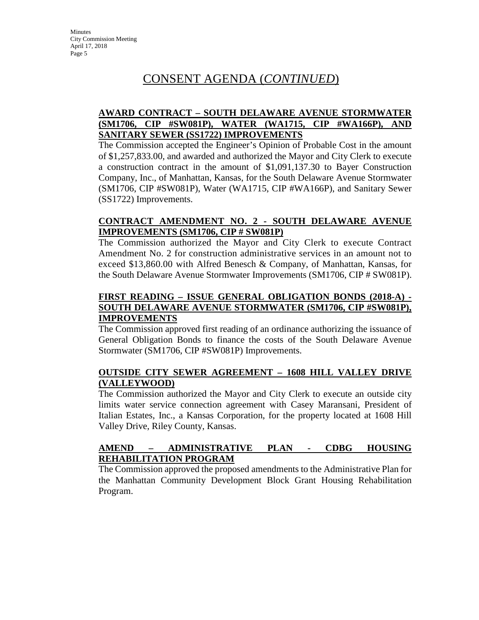# **AWARD CONTRACT – SOUTH DELAWARE AVENUE STORMWATER (SM1706, CIP #SW081P), WATER (WA1715, CIP #WA166P), AND SANITARY SEWER (SS1722) IMPROVEMENTS**

The Commission accepted the Engineer's Opinion of Probable Cost in the amount of \$1,257,833.00, and awarded and authorized the Mayor and City Clerk to execute a construction contract in the amount of \$1,091,137.30 to Bayer Construction Company, Inc., of Manhattan, Kansas, for the South Delaware Avenue Stormwater (SM1706, CIP #SW081P), Water (WA1715, CIP #WA166P), and Sanitary Sewer (SS1722) Improvements.

#### **CONTRACT AMENDMENT NO. 2 - SOUTH DELAWARE AVENUE IMPROVEMENTS (SM1706, CIP # SW081P)**

The Commission authorized the Mayor and City Clerk to execute Contract Amendment No. 2 for construction administrative services in an amount not to exceed \$13,860.00 with Alfred Benesch & Company, of Manhattan, Kansas, for the South Delaware Avenue Stormwater Improvements (SM1706, CIP # SW081P).

## **FIRST READING – ISSUE GENERAL OBLIGATION BONDS (2018-A) - SOUTH DELAWARE AVENUE STORMWATER (SM1706, CIP #SW081P), IMPROVEMENTS**

The Commission approved first reading of an ordinance authorizing the issuance of General Obligation Bonds to finance the costs of the South Delaware Avenue Stormwater (SM1706, CIP #SW081P) Improvements.

## **OUTSIDE CITY SEWER AGREEMENT – 1608 HILL VALLEY DRIVE (VALLEYWOOD)**

The Commission authorized the Mayor and City Clerk to execute an outside city limits water service connection agreement with Casey Maransani, President of Italian Estates, Inc., a Kansas Corporation, for the property located at 1608 Hill Valley Drive, Riley County, Kansas.

## **AMEND – ADMINISTRATIVE PLAN - CDBG HOUSING REHABILITATION PROGRAM**

The Commission approved the proposed amendments to the Administrative Plan for the Manhattan Community Development Block Grant Housing Rehabilitation Program.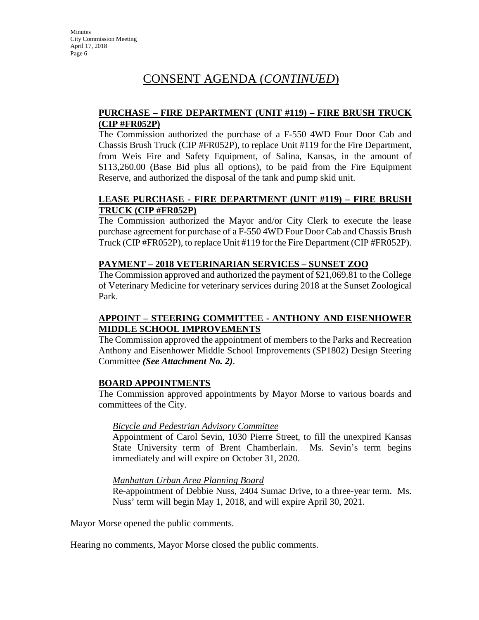### **PURCHASE – FIRE DEPARTMENT (UNIT #119) – FIRE BRUSH TRUCK (CIP #FR052P)**

The Commission authorized the purchase of a F-550 4WD Four Door Cab and Chassis Brush Truck (CIP #FR052P), to replace Unit #119 for the Fire Department, from Weis Fire and Safety Equipment, of Salina, Kansas, in the amount of \$113,260.00 (Base Bid plus all options), to be paid from the Fire Equipment Reserve, and authorized the disposal of the tank and pump skid unit.

## **LEASE PURCHASE - FIRE DEPARTMENT (UNIT #119) – FIRE BRUSH TRUCK (CIP #FR052P)**

The Commission authorized the Mayor and/or City Clerk to execute the lease purchase agreement for purchase of a F-550 4WD Four Door Cab and Chassis Brush Truck (CIP #FR052P), to replace Unit #119 for the Fire Department (CIP #FR052P).

## **PAYMENT – 2018 VETERINARIAN SERVICES – SUNSET ZOO**

The Commission approved and authorized the payment of \$21,069.81 to the College of Veterinary Medicine for veterinary services during 2018 at the Sunset Zoological Park.

# **APPOINT – STEERING COMMITTEE - ANTHONY AND EISENHOWER MIDDLE SCHOOL IMPROVEMENTS**

The Commission approved the appointment of members to the Parks and Recreation Anthony and Eisenhower Middle School Improvements (SP1802) Design Steering Committee *(See Attachment No. 2)*.

## **BOARD APPOINTMENTS**

The Commission approved appointments by Mayor Morse to various boards and committees of the City.

## *Bicycle and Pedestrian Advisory Committee*

Appointment of Carol Sevin, 1030 Pierre Street, to fill the unexpired Kansas State University term of Brent Chamberlain. Ms. Sevin's term begins immediately and will expire on October 31, 2020.

## *Manhattan Urban Area Planning Board*

Re-appointment of Debbie Nuss, 2404 Sumac Drive, to a three-year term. Ms. Nuss' term will begin May 1, 2018, and will expire April 30, 2021.

Mayor Morse opened the public comments.

Hearing no comments, Mayor Morse closed the public comments.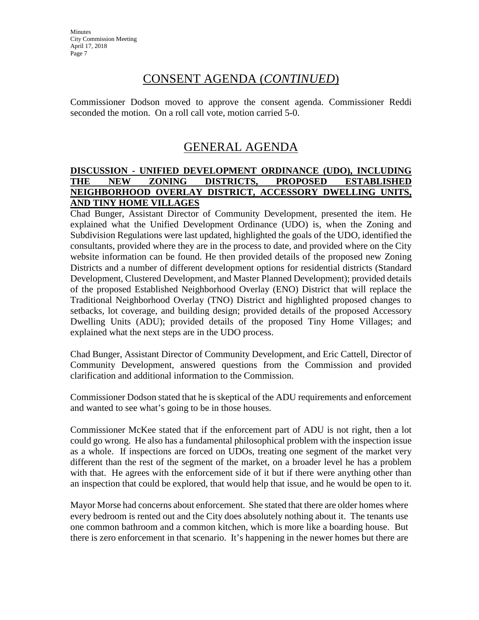Commissioner Dodson moved to approve the consent agenda. Commissioner Reddi seconded the motion. On a roll call vote, motion carried 5-0.

# GENERAL AGENDA

### **DISCUSSION - UNIFIED DEVELOPMENT ORDINANCE (UDO), INCLUDING THE NEW ZONING DISTRICTS, PROPOSED ESTABLISHED NEIGHBORHOOD OVERLAY DISTRICT, ACCESSORY DWELLING UNITS, AND TINY HOME VILLAGES**

Chad Bunger, Assistant Director of Community Development, presented the item. He explained what the Unified Development Ordinance (UDO) is, when the Zoning and Subdivision Regulations were last updated, highlighted the goals of the UDO, identified the consultants, provided where they are in the process to date, and provided where on the City website information can be found. He then provided details of the proposed new Zoning Districts and a number of different development options for residential districts (Standard Development, Clustered Development, and Master Planned Development); provided details of the proposed Established Neighborhood Overlay (ENO) District that will replace the Traditional Neighborhood Overlay (TNO) District and highlighted proposed changes to setbacks, lot coverage, and building design; provided details of the proposed Accessory Dwelling Units (ADU); provided details of the proposed Tiny Home Villages; and explained what the next steps are in the UDO process.

Chad Bunger, Assistant Director of Community Development, and Eric Cattell, Director of Community Development, answered questions from the Commission and provided clarification and additional information to the Commission.

Commissioner Dodson stated that he is skeptical of the ADU requirements and enforcement and wanted to see what's going to be in those houses.

Commissioner McKee stated that if the enforcement part of ADU is not right, then a lot could go wrong. He also has a fundamental philosophical problem with the inspection issue as a whole. If inspections are forced on UDOs, treating one segment of the market very different than the rest of the segment of the market, on a broader level he has a problem with that. He agrees with the enforcement side of it but if there were anything other than an inspection that could be explored, that would help that issue, and he would be open to it.

Mayor Morse had concerns about enforcement. She stated that there are older homes where every bedroom is rented out and the City does absolutely nothing about it. The tenants use one common bathroom and a common kitchen, which is more like a boarding house. But there is zero enforcement in that scenario. It's happening in the newer homes but there are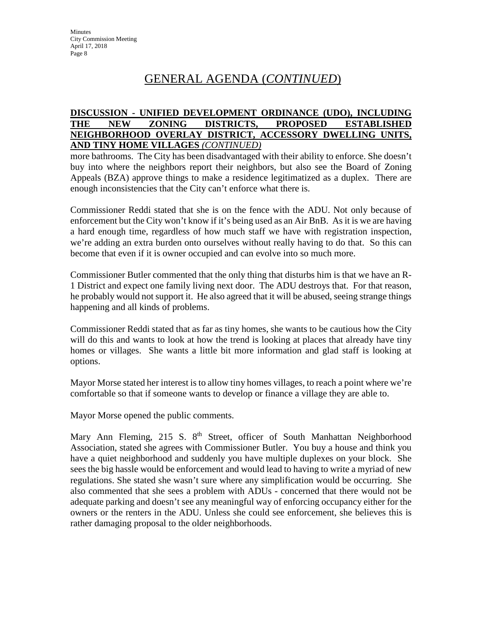#### **DISCUSSION - UNIFIED DEVELOPMENT ORDINANCE (UDO), INCLUDING THE NEW ZONING DISTRICTS, PROPOSED ESTABLISHED NEIGHBORHOOD OVERLAY DISTRICT, ACCESSORY DWELLING UNITS, AND TINY HOME VILLAGES** *(CONTINUED)*

more bathrooms. The City has been disadvantaged with their ability to enforce. She doesn't buy into where the neighbors report their neighbors, but also see the Board of Zoning Appeals (BZA) approve things to make a residence legitimatized as a duplex. There are enough inconsistencies that the City can't enforce what there is.

Commissioner Reddi stated that she is on the fence with the ADU. Not only because of enforcement but the City won't know if it's being used as an Air BnB. As it is we are having a hard enough time, regardless of how much staff we have with registration inspection, we're adding an extra burden onto ourselves without really having to do that. So this can become that even if it is owner occupied and can evolve into so much more.

Commissioner Butler commented that the only thing that disturbs him is that we have an R-1 District and expect one family living next door. The ADU destroys that. For that reason, he probably would not support it. He also agreed that it will be abused, seeing strange things happening and all kinds of problems.

Commissioner Reddi stated that as far as tiny homes, she wants to be cautious how the City will do this and wants to look at how the trend is looking at places that already have tiny homes or villages. She wants a little bit more information and glad staff is looking at options.

Mayor Morse stated her interest is to allow tiny homes villages, to reach a point where we're comfortable so that if someone wants to develop or finance a village they are able to.

Mayor Morse opened the public comments.

Mary Ann Fleming, 215 S. 8<sup>th</sup> Street, officer of South Manhattan Neighborhood Association, stated she agrees with Commissioner Butler. You buy a house and think you have a quiet neighborhood and suddenly you have multiple duplexes on your block. She sees the big hassle would be enforcement and would lead to having to write a myriad of new regulations. She stated she wasn't sure where any simplification would be occurring. She also commented that she sees a problem with ADUs - concerned that there would not be adequate parking and doesn't see any meaningful way of enforcing occupancy either for the owners or the renters in the ADU. Unless she could see enforcement, she believes this is rather damaging proposal to the older neighborhoods.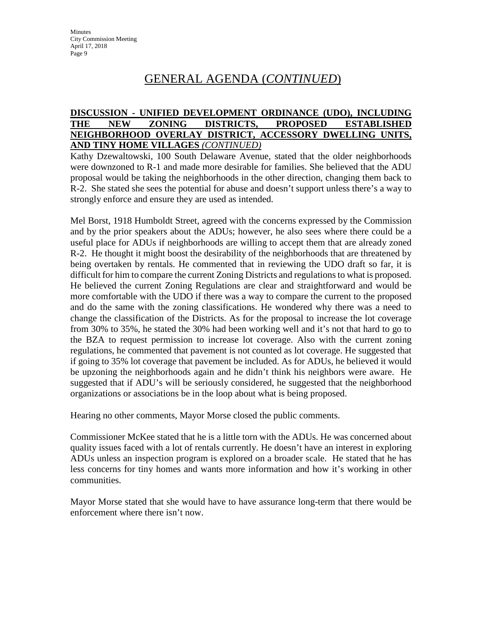#### **DISCUSSION - UNIFIED DEVELOPMENT ORDINANCE (UDO), INCLUDING THE NEW ZONING DISTRICTS, PROPOSED ESTABLISHED NEIGHBORHOOD OVERLAY DISTRICT, ACCESSORY DWELLING UNITS, AND TINY HOME VILLAGES** *(CONTINUED)*

Kathy Dzewaltowski, 100 South Delaware Avenue, stated that the older neighborhoods were downzoned to R-1 and made more desirable for families. She believed that the ADU proposal would be taking the neighborhoods in the other direction, changing them back to R-2. She stated she sees the potential for abuse and doesn't support unless there's a way to strongly enforce and ensure they are used as intended.

Mel Borst, 1918 Humboldt Street, agreed with the concerns expressed by the Commission and by the prior speakers about the ADUs; however, he also sees where there could be a useful place for ADUs if neighborhoods are willing to accept them that are already zoned R-2. He thought it might boost the desirability of the neighborhoods that are threatened by being overtaken by rentals. He commented that in reviewing the UDO draft so far, it is difficult for him to compare the current Zoning Districts and regulations to what is proposed. He believed the current Zoning Regulations are clear and straightforward and would be more comfortable with the UDO if there was a way to compare the current to the proposed and do the same with the zoning classifications. He wondered why there was a need to change the classification of the Districts. As for the proposal to increase the lot coverage from 30% to 35%, he stated the 30% had been working well and it's not that hard to go to the BZA to request permission to increase lot coverage. Also with the current zoning regulations, he commented that pavement is not counted as lot coverage. He suggested that if going to 35% lot coverage that pavement be included. As for ADUs, he believed it would be upzoning the neighborhoods again and he didn't think his neighbors were aware. He suggested that if ADU's will be seriously considered, he suggested that the neighborhood organizations or associations be in the loop about what is being proposed.

Hearing no other comments, Mayor Morse closed the public comments.

Commissioner McKee stated that he is a little torn with the ADUs. He was concerned about quality issues faced with a lot of rentals currently. He doesn't have an interest in exploring ADUs unless an inspection program is explored on a broader scale. He stated that he has less concerns for tiny homes and wants more information and how it's working in other communities.

Mayor Morse stated that she would have to have assurance long-term that there would be enforcement where there isn't now.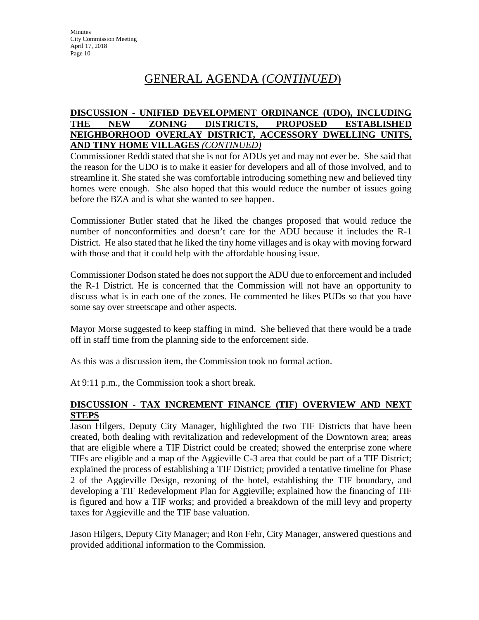#### **DISCUSSION - UNIFIED DEVELOPMENT ORDINANCE (UDO), INCLUDING THE NEW ZONING DISTRICTS, PROPOSED ESTABLISHED NEIGHBORHOOD OVERLAY DISTRICT, ACCESSORY DWELLING UNITS, AND TINY HOME VILLAGES** *(CONTINUED)*

Commissioner Reddi stated that she is not for ADUs yet and may not ever be. She said that the reason for the UDO is to make it easier for developers and all of those involved, and to streamline it. She stated she was comfortable introducing something new and believed tiny homes were enough. She also hoped that this would reduce the number of issues going before the BZA and is what she wanted to see happen.

Commissioner Butler stated that he liked the changes proposed that would reduce the number of nonconformities and doesn't care for the ADU because it includes the R-1 District. He also stated that he liked the tiny home villages and is okay with moving forward with those and that it could help with the affordable housing issue.

Commissioner Dodson stated he does not support the ADU due to enforcement and included the R-1 District. He is concerned that the Commission will not have an opportunity to discuss what is in each one of the zones. He commented he likes PUDs so that you have some say over streetscape and other aspects.

Mayor Morse suggested to keep staffing in mind. She believed that there would be a trade off in staff time from the planning side to the enforcement side.

As this was a discussion item, the Commission took no formal action.

At 9:11 p.m., the Commission took a short break.

#### **DISCUSSION - TAX INCREMENT FINANCE (TIF) OVERVIEW AND NEXT STEPS**

Jason Hilgers, Deputy City Manager, highlighted the two TIF Districts that have been created, both dealing with revitalization and redevelopment of the Downtown area; areas that are eligible where a TIF District could be created; showed the enterprise zone where TIFs are eligible and a map of the Aggieville C-3 area that could be part of a TIF District; explained the process of establishing a TIF District; provided a tentative timeline for Phase 2 of the Aggieville Design, rezoning of the hotel, establishing the TIF boundary, and developing a TIF Redevelopment Plan for Aggieville; explained how the financing of TIF is figured and how a TIF works; and provided a breakdown of the mill levy and property taxes for Aggieville and the TIF base valuation.

Jason Hilgers, Deputy City Manager; and Ron Fehr, City Manager, answered questions and provided additional information to the Commission.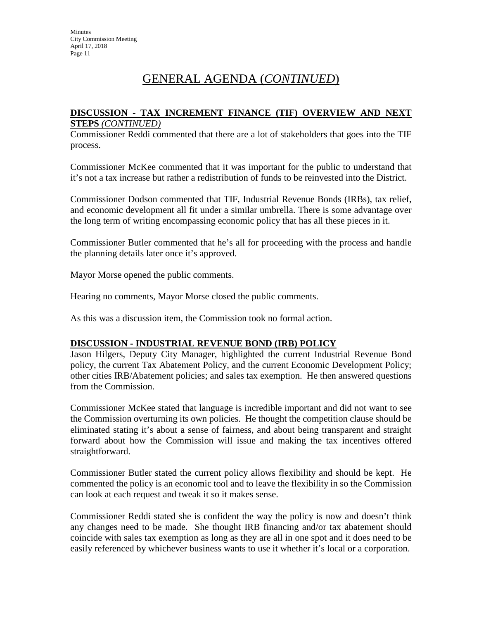#### **DISCUSSION - TAX INCREMENT FINANCE (TIF) OVERVIEW AND NEXT STEPS** *(CONTINUED)*

Commissioner Reddi commented that there are a lot of stakeholders that goes into the TIF process.

Commissioner McKee commented that it was important for the public to understand that it's not a tax increase but rather a redistribution of funds to be reinvested into the District.

Commissioner Dodson commented that TIF, Industrial Revenue Bonds (IRBs), tax relief, and economic development all fit under a similar umbrella. There is some advantage over the long term of writing encompassing economic policy that has all these pieces in it.

Commissioner Butler commented that he's all for proceeding with the process and handle the planning details later once it's approved.

Mayor Morse opened the public comments.

Hearing no comments, Mayor Morse closed the public comments.

As this was a discussion item, the Commission took no formal action.

#### **DISCUSSION - INDUSTRIAL REVENUE BOND (IRB) POLICY**

Jason Hilgers, Deputy City Manager, highlighted the current Industrial Revenue Bond policy, the current Tax Abatement Policy, and the current Economic Development Policy; other cities IRB/Abatement policies; and sales tax exemption. He then answered questions from the Commission.

Commissioner McKee stated that language is incredible important and did not want to see the Commission overturning its own policies. He thought the competition clause should be eliminated stating it's about a sense of fairness, and about being transparent and straight forward about how the Commission will issue and making the tax incentives offered straightforward.

Commissioner Butler stated the current policy allows flexibility and should be kept. He commented the policy is an economic tool and to leave the flexibility in so the Commission can look at each request and tweak it so it makes sense.

Commissioner Reddi stated she is confident the way the policy is now and doesn't think any changes need to be made. She thought IRB financing and/or tax abatement should coincide with sales tax exemption as long as they are all in one spot and it does need to be easily referenced by whichever business wants to use it whether it's local or a corporation.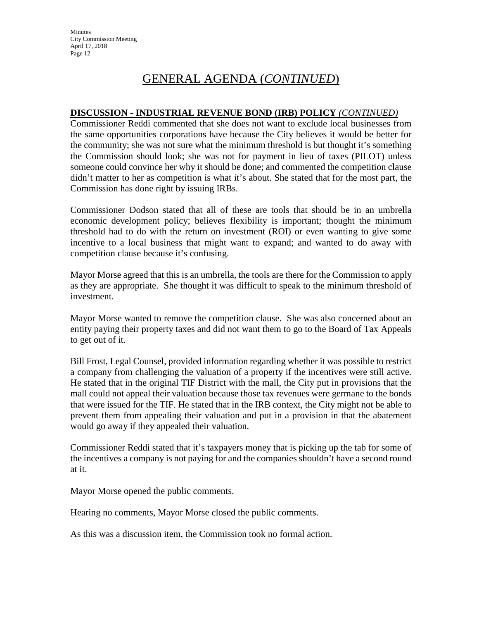## **DISCUSSION - INDUSTRIAL REVENUE BOND (IRB) POLICY** *(CONTINUED)*

Commissioner Reddi commented that she does not want to exclude local businesses from the same opportunities corporations have because the City believes it would be better for the community; she was not sure what the minimum threshold is but thought it's something the Commission should look; she was not for payment in lieu of taxes (PILOT) unless someone could convince her why it should be done; and commented the competition clause didn't matter to her as competition is what it's about. She stated that for the most part, the Commission has done right by issuing IRBs.

Commissioner Dodson stated that all of these are tools that should be in an umbrella economic development policy; believes flexibility is important; thought the minimum threshold had to do with the return on investment (ROI) or even wanting to give some incentive to a local business that might want to expand; and wanted to do away with competition clause because it's confusing.

Mayor Morse agreed that this is an umbrella, the tools are there for the Commission to apply as they are appropriate. She thought it was difficult to speak to the minimum threshold of investment.

Mayor Morse wanted to remove the competition clause. She was also concerned about an entity paying their property taxes and did not want them to go to the Board of Tax Appeals to get out of it.

Bill Frost, Legal Counsel, provided information regarding whether it was possible to restrict a company from challenging the valuation of a property if the incentives were still active. He stated that in the original TIF District with the mall, the City put in provisions that the mall could not appeal their valuation because those tax revenues were germane to the bonds that were issued for the TIF. He stated that in the IRB context, the City might not be able to prevent them from appealing their valuation and put in a provision in that the abatement would go away if they appealed their valuation.

Commissioner Reddi stated that it's taxpayers money that is picking up the tab for some of the incentives a company is not paying for and the companies shouldn't have a second round at it.

Mayor Morse opened the public comments.

Hearing no comments, Mayor Morse closed the public comments.

As this was a discussion item, the Commission took no formal action.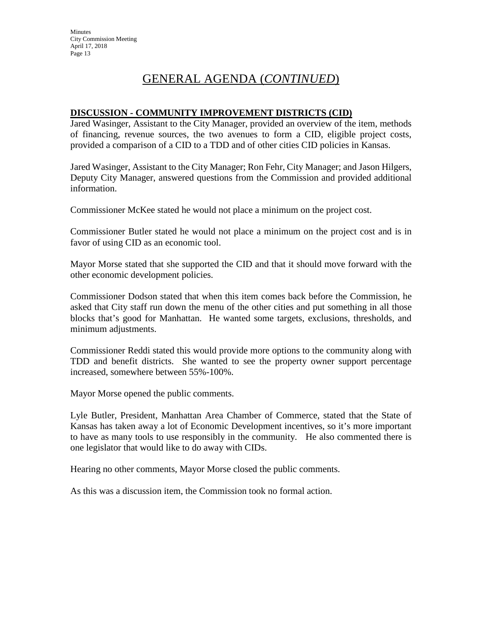#### **DISCUSSION - COMMUNITY IMPROVEMENT DISTRICTS (CID)**

Jared Wasinger, Assistant to the City Manager, provided an overview of the item, methods of financing, revenue sources, the two avenues to form a CID, eligible project costs, provided a comparison of a CID to a TDD and of other cities CID policies in Kansas.

Jared Wasinger, Assistant to the City Manager; Ron Fehr, City Manager; and Jason Hilgers, Deputy City Manager, answered questions from the Commission and provided additional information.

Commissioner McKee stated he would not place a minimum on the project cost.

Commissioner Butler stated he would not place a minimum on the project cost and is in favor of using CID as an economic tool.

Mayor Morse stated that she supported the CID and that it should move forward with the other economic development policies.

Commissioner Dodson stated that when this item comes back before the Commission, he asked that City staff run down the menu of the other cities and put something in all those blocks that's good for Manhattan. He wanted some targets, exclusions, thresholds, and minimum adjustments.

Commissioner Reddi stated this would provide more options to the community along with TDD and benefit districts. She wanted to see the property owner support percentage increased, somewhere between 55%-100%.

Mayor Morse opened the public comments.

Lyle Butler, President, Manhattan Area Chamber of Commerce, stated that the State of Kansas has taken away a lot of Economic Development incentives, so it's more important to have as many tools to use responsibly in the community. He also commented there is one legislator that would like to do away with CIDs.

Hearing no other comments, Mayor Morse closed the public comments.

As this was a discussion item, the Commission took no formal action.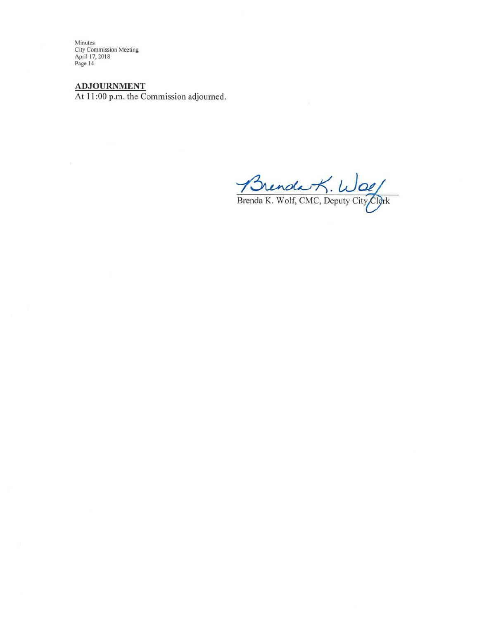$ADJOURNMENT$ <br>At 11:00 p.m. the Commission adjourned.

Brenda K. Wolf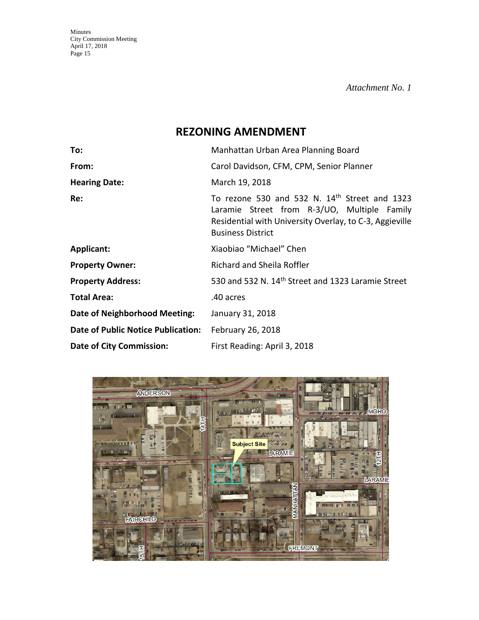*Attachment No. 1* 

# **REZONING AMENDMENT**

| To:                                       | Manhattan Urban Area Planning Board                                                                                                                                                 |  |  |  |
|-------------------------------------------|-------------------------------------------------------------------------------------------------------------------------------------------------------------------------------------|--|--|--|
| From:                                     | Carol Davidson, CFM, CPM, Senior Planner                                                                                                                                            |  |  |  |
| <b>Hearing Date:</b>                      | March 19, 2018                                                                                                                                                                      |  |  |  |
| Re:                                       | To rezone 530 and 532 N. 14th Street and 1323<br>Laramie Street from R-3/UO, Multiple Family<br>Residential with University Overlay, to C-3, Aggieville<br><b>Business District</b> |  |  |  |
| Applicant:                                | Xiaobiao "Michael" Chen                                                                                                                                                             |  |  |  |
| <b>Property Owner:</b>                    | Richard and Sheila Roffler                                                                                                                                                          |  |  |  |
| <b>Property Address:</b>                  | 530 and 532 N. 14 <sup>th</sup> Street and 1323 Laramie Street                                                                                                                      |  |  |  |
| <b>Total Area:</b>                        | .40 acres                                                                                                                                                                           |  |  |  |
| <b>Date of Neighborhood Meeting:</b>      | January 31, 2018                                                                                                                                                                    |  |  |  |
| <b>Date of Public Notice Publication:</b> | February 26, 2018                                                                                                                                                                   |  |  |  |
| <b>Date of City Commission:</b>           | First Reading: April 3, 2018                                                                                                                                                        |  |  |  |

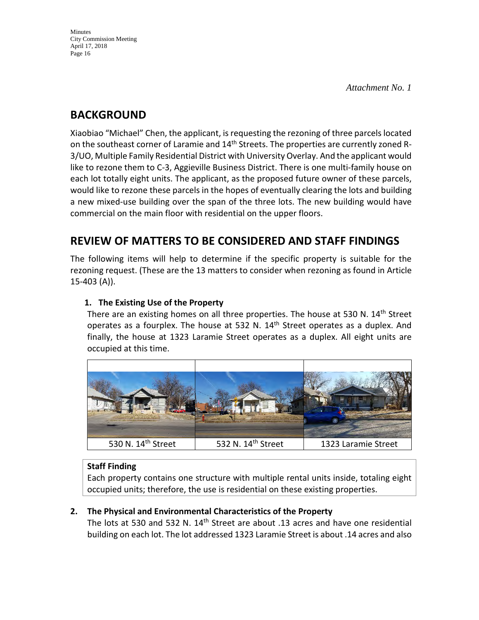# **BACKGROUND**

Xiaobiao "Michael" Chen, the applicant, is requesting the rezoning of three parcels located on the southeast corner of Laramie and 14<sup>th</sup> Streets. The properties are currently zoned R-3/UO, Multiple Family Residential District with University Overlay. And the applicant would like to rezone them to C-3, Aggieville Business District. There is one multi-family house on each lot totally eight units. The applicant, as the proposed future owner of these parcels, would like to rezone these parcels in the hopes of eventually clearing the lots and building a new mixed-use building over the span of the three lots. The new building would have commercial on the main floor with residential on the upper floors.

# **REVIEW OF MATTERS TO BE CONSIDERED AND STAFF FINDINGS**

The following items will help to determine if the specific property is suitable for the rezoning request. (These are the 13 matters to consider when rezoning as found in Article 15-403 (A)).

# **1. The Existing Use of the Property**

There are an existing homes on all three properties. The house at 530 N. 14<sup>th</sup> Street operates as a fourplex. The house at 532 N. 14<sup>th</sup> Street operates as a duplex. And finally, the house at 1323 Laramie Street operates as a duplex. All eight units are occupied at this time.



# **Staff Finding**

Each property contains one structure with multiple rental units inside, totaling eight occupied units; therefore, the use is residential on these existing properties.

# **2. The Physical and Environmental Characteristics of the Property**

The lots at 530 and 532 N. 14<sup>th</sup> Street are about .13 acres and have one residential building on each lot. The lot addressed 1323 Laramie Street is about .14 acres and also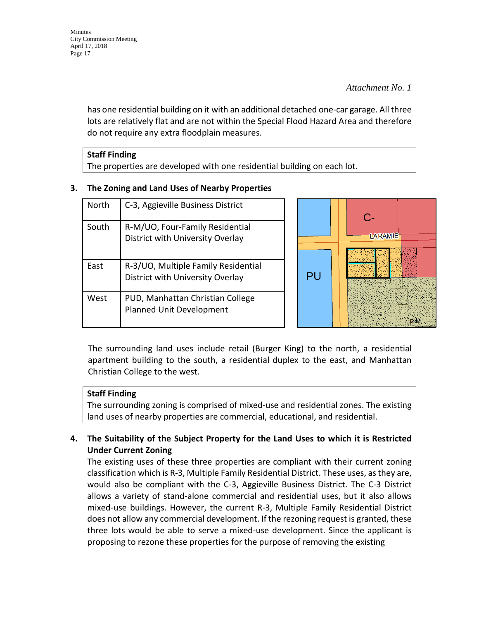has one residential building on it with an additional detached one-car garage. All three lots are relatively flat and are not within the Special Flood Hazard Area and therefore do not require any extra floodplain measures.

| <b>Staff Finding</b>                                                    |
|-------------------------------------------------------------------------|
| The properties are developed with one residential building on each lot. |

## **3. The Zoning and Land Uses of Nearby Properties**

| North | C-3, Aggieville Business District                                       |     | $\Gamma$       |  |
|-------|-------------------------------------------------------------------------|-----|----------------|--|
| South | R-M/UO, Four-Family Residential<br>District with University Overlay     |     | <b>LARAMIE</b> |  |
| East  | R-3/UO, Multiple Family Residential<br>District with University Overlay | P() |                |  |
| West  | PUD, Manhattan Christian College<br>Planned Unit Development            |     |                |  |

The surrounding land uses include retail (Burger King) to the north, a residential apartment building to the south, a residential duplex to the east, and Manhattan Christian College to the west.

# **Staff Finding**

The surrounding zoning is comprised of mixed-use and residential zones. The existing land uses of nearby properties are commercial, educational, and residential.

# **4. The Suitability of the Subject Property for the Land Uses to which it is Restricted Under Current Zoning**

The existing uses of these three properties are compliant with their current zoning classification which is R-3, Multiple Family Residential District. These uses, as they are, would also be compliant with the C-3, Aggieville Business District. The C-3 District allows a variety of stand-alone commercial and residential uses, but it also allows mixed-use buildings. However, the current R-3, Multiple Family Residential District does not allow any commercial development. If the rezoning request is granted, these three lots would be able to serve a mixed-use development. Since the applicant is proposing to rezone these properties for the purpose of removing the existing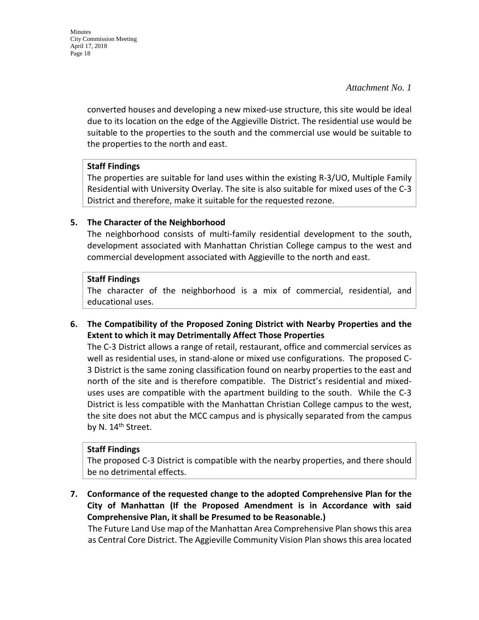*Attachment No. 1* 

converted houses and developing a new mixed-use structure, this site would be ideal due to its location on the edge of the Aggieville District. The residential use would be suitable to the properties to the south and the commercial use would be suitable to the properties to the north and east.

## **Staff Findings**

The properties are suitable for land uses within the existing R-3/UO, Multiple Family Residential with University Overlay. The site is also suitable for mixed uses of the C-3 District and therefore, make it suitable for the requested rezone.

# **5. The Character of the Neighborhood**

The neighborhood consists of multi-family residential development to the south, development associated with Manhattan Christian College campus to the west and commercial development associated with Aggieville to the north and east.

## **Staff Findings**

The character of the neighborhood is a mix of commercial, residential, and educational uses.

**6. The Compatibility of the Proposed Zoning District with Nearby Properties and the Extent to which it may Detrimentally Affect Those Properties**

The C-3 District allows a range of retail, restaurant, office and commercial services as well as residential uses, in stand-alone or mixed use configurations. The proposed C-3 District is the same zoning classification found on nearby properties to the east and north of the site and is therefore compatible. The District's residential and mixeduses uses are compatible with the apartment building to the south. While the C-3 District is less compatible with the Manhattan Christian College campus to the west, the site does not abut the MCC campus and is physically separated from the campus by N. 14<sup>th</sup> Street.

## **Staff Findings**

The proposed C-3 District is compatible with the nearby properties, and there should be no detrimental effects.

**7. Conformance of the requested change to the adopted Comprehensive Plan for the City of Manhattan (If the Proposed Amendment is in Accordance with said Comprehensive Plan, it shall be Presumed to be Reasonable.)**

The Future Land Use map of the Manhattan Area Comprehensive Plan shows this area as Central Core District. The Aggieville Community Vision Plan shows this area located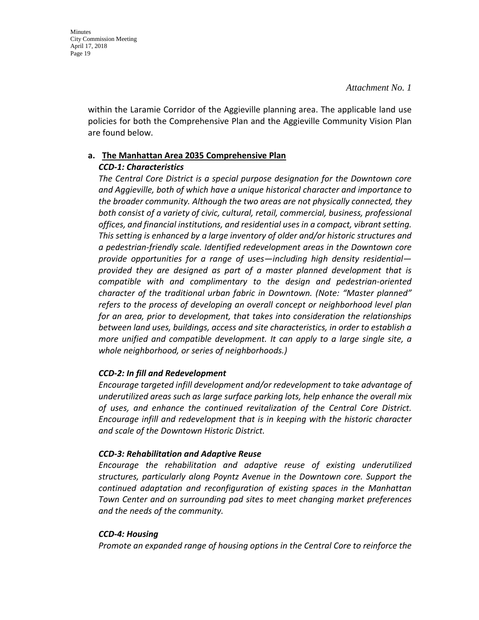within the Laramie Corridor of the Aggieville planning area. The applicable land use policies for both the Comprehensive Plan and the Aggieville Community Vision Plan are found below.

# **a. The Manhattan Area 2035 Comprehensive Plan**

# *CCD-1: Characteristics*

*The Central Core District is a special purpose designation for the Downtown core and Aggieville, both of which have a unique historical character and importance to the broader community. Although the two areas are not physically connected, they both consist of a variety of civic, cultural, retail, commercial, business, professional offices, and financial institutions, and residential uses in a compact, vibrant setting. This setting is enhanced by a large inventory of older and/or historic structures and a pedestrian-friendly scale. Identified redevelopment areas in the Downtown core provide opportunities for a range of uses—including high density residential provided they are designed as part of a master planned development that is compatible with and complimentary to the design and pedestrian-oriented character of the traditional urban fabric in Downtown. (Note: "Master planned" refers to the process of developing an overall concept or neighborhood level plan for an area, prior to development, that takes into consideration the relationships between land uses, buildings, access and site characteristics, in order to establish a more unified and compatible development. It can apply to a large single site, a whole neighborhood, or series of neighborhoods.)* 

# *CCD-2: In fill and Redevelopment*

*Encourage targeted infill development and/or redevelopment to take advantage of underutilized areas such as large surface parking lots, help enhance the overall mix of uses, and enhance the continued revitalization of the Central Core District. Encourage infill and redevelopment that is in keeping with the historic character and scale of the Downtown Historic District.* 

## *CCD-3: Rehabilitation and Adaptive Reuse*

*Encourage the rehabilitation and adaptive reuse of existing underutilized structures, particularly along Poyntz Avenue in the Downtown core. Support the continued adaptation and reconfiguration of existing spaces in the Manhattan Town Center and on surrounding pad sites to meet changing market preferences and the needs of the community.* 

## *CCD-4: Housing*

*Promote an expanded range of housing options in the Central Core to reinforce the*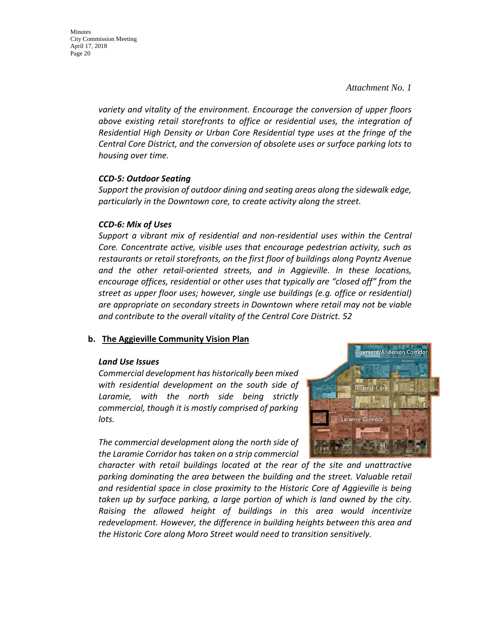Minutes City Commission Meeting April 17, 2018 Page 20

> *variety and vitality of the environment. Encourage the conversion of upper floors above existing retail storefronts to office or residential uses, the integration of Residential High Density or Urban Core Residential type uses at the fringe of the Central Core District, and the conversion of obsolete uses or surface parking lots to housing over time.*

#### *CCD-5: Outdoor Seating*

*Support the provision of outdoor dining and seating areas along the sidewalk edge, particularly in the Downtown core, to create activity along the street.* 

#### *CCD-6: Mix of Uses*

*Support a vibrant mix of residential and non-residential uses within the Central Core. Concentrate active, visible uses that encourage pedestrian activity, such as restaurants or retail storefronts, on the first floor of buildings along Poyntz Avenue and the other retail-oriented streets, and in Aggieville. In these locations, encourage offices, residential or other uses that typically are "closed off" from the street as upper floor uses; however, single use buildings (e.g. office or residential) are appropriate on secondary streets in Downtown where retail may not be viable and contribute to the overall vitality of the Central Core District. 52*

## **b. The Aggieville Community Vision Plan**

#### *Land Use Issues*

*Commercial development has historically been mixed with residential development on the south side of Laramie, with the north side being strictly commercial, though it is mostly comprised of parking lots.*

*The commercial development along the north side of the Laramie Corridor has taken on a strip commercial* 



*character with retail buildings located at the rear of the site and unattractive parking dominating the area between the building and the street. Valuable retail and residential space in close proximity to the Historic Core of Aggieville is being taken up by surface parking, a large portion of which is land owned by the city. Raising the allowed height of buildings in this area would incentivize redevelopment. However, the difference in building heights between this area and the Historic Core along Moro Street would need to transition sensitively.*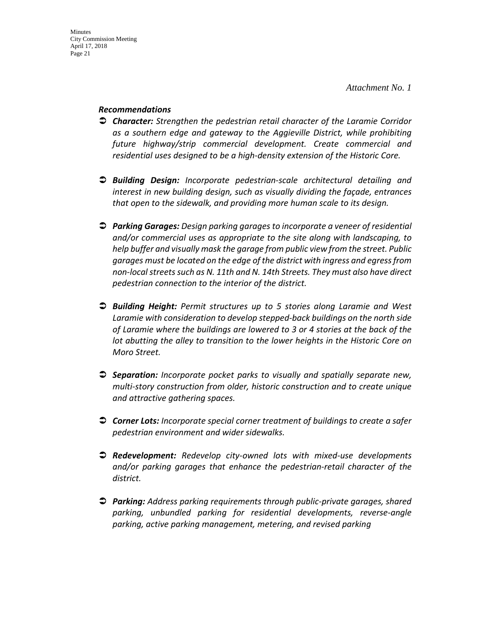#### *Recommendations*

- *Character: Strengthen the pedestrian retail character of the Laramie Corridor as a southern edge and gateway to the Aggieville District, while prohibiting future highway/strip commercial development. Create commercial and residential uses designed to be a high-density extension of the Historic Core.*
- *Building Design: Incorporate pedestrian-scale architectural detailing and interest in new building design, such as visually dividing the façade, entrances that open to the sidewalk, and providing more human scale to its design.*
- *Parking Garages: Design parking garages to incorporate a veneer of residential and/or commercial uses as appropriate to the site along with landscaping, to help buffer and visually mask the garage from public view from the street. Public garages must be located on the edge of the district with ingress and egress from non-local streets such as N. 11th and N. 14th Streets. They must also have direct pedestrian connection to the interior of the district.*
- *Building Height: Permit structures up to 5 stories along Laramie and West Laramie with consideration to develop stepped-back buildings on the north side of Laramie where the buildings are lowered to 3 or 4 stories at the back of the lot abutting the alley to transition to the lower heights in the Historic Core on Moro Street.*
- *Separation: Incorporate pocket parks to visually and spatially separate new, multi-story construction from older, historic construction and to create unique and attractive gathering spaces.*
- *Corner Lots: Incorporate special corner treatment of buildings to create a safer pedestrian environment and wider sidewalks.*
- *Redevelopment: Redevelop city-owned lots with mixed-use developments and/or parking garages that enhance the pedestrian-retail character of the district.*
- *Parking: Address parking requirements through public-private garages, shared parking, unbundled parking for residential developments, reverse-angle parking, active parking management, metering, and revised parking*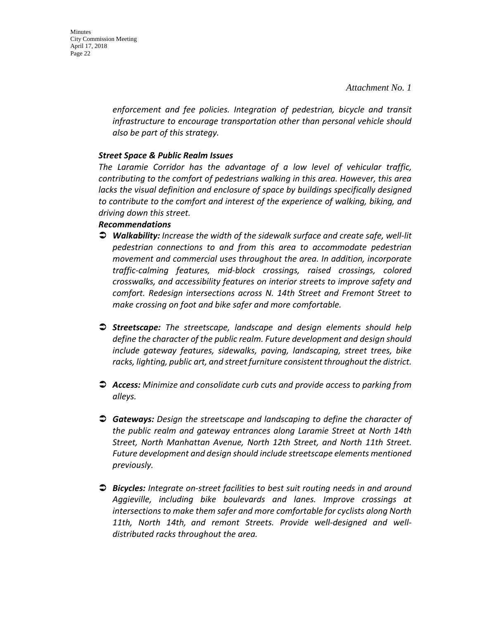Minutes City Commission Meeting April 17, 2018 Page 22

> *enforcement and fee policies. Integration of pedestrian, bicycle and transit infrastructure to encourage transportation other than personal vehicle should also be part of this strategy.*

#### *Street Space & Public Realm Issues*

*The Laramie Corridor has the advantage of a low level of vehicular traffic, contributing to the comfort of pedestrians walking in this area. However, this area lacks the visual definition and enclosure of space by buildings specifically designed to contribute to the comfort and interest of the experience of walking, biking, and driving down this street.*

#### *Recommendations*

- *Walkability: Increase the width of the sidewalk surface and create safe, well-lit pedestrian connections to and from this area to accommodate pedestrian movement and commercial uses throughout the area. In addition, incorporate traffic-calming features, mid-block crossings, raised crossings, colored crosswalks, and accessibility features on interior streets to improve safety and comfort. Redesign intersections across N. 14th Street and Fremont Street to make crossing on foot and bike safer and more comfortable.*
- *Streetscape: The streetscape, landscape and design elements should help define the character of the public realm. Future development and design should include gateway features, sidewalks, paving, landscaping, street trees, bike racks, lighting, public art, and street furniture consistent throughout the district.*
- *Access: Minimize and consolidate curb cuts and provide access to parking from alleys.*
- *Gateways: Design the streetscape and landscaping to define the character of the public realm and gateway entrances along Laramie Street at North 14th Street, North Manhattan Avenue, North 12th Street, and North 11th Street. Future development and design should include streetscape elements mentioned previously.*
- *Bicycles: Integrate on-street facilities to best suit routing needs in and around Aggieville, including bike boulevards and lanes. Improve crossings at intersections to make them safer and more comfortable for cyclists along North 11th, North 14th, and remont Streets. Provide well-designed and welldistributed racks throughout the area.*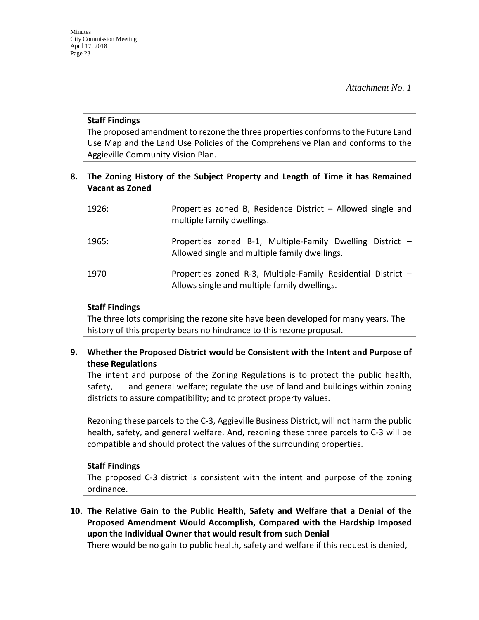#### **Staff Findings**

The proposed amendment to rezone the three properties conforms to the Future Land Use Map and the Land Use Policies of the Comprehensive Plan and conforms to the Aggieville Community Vision Plan.

# **8. The Zoning History of the Subject Property and Length of Time it has Remained Vacant as Zoned**

| 1926: | Properties zoned B, Residence District - Allowed single and<br>multiple family dwellings.                    |
|-------|--------------------------------------------------------------------------------------------------------------|
| 1965: | Properties zoned B-1, Multiple-Family Dwelling District -<br>Allowed single and multiple family dwellings.   |
| 1970  | Properties zoned R-3, Multiple-Family Residential District -<br>Allows single and multiple family dwellings. |

#### **Staff Findings**

The three lots comprising the rezone site have been developed for many years. The history of this property bears no hindrance to this rezone proposal.

## **9. Whether the Proposed District would be Consistent with the Intent and Purpose of these Regulations**

The intent and purpose of the Zoning Regulations is to protect the public health, safety, and general welfare; regulate the use of land and buildings within zoning districts to assure compatibility; and to protect property values.

Rezoning these parcels to the C-3, Aggieville Business District, will not harm the public health, safety, and general welfare. And, rezoning these three parcels to C-3 will be compatible and should protect the values of the surrounding properties.

#### **Staff Findings**

The proposed C-3 district is consistent with the intent and purpose of the zoning ordinance.

**10. The Relative Gain to the Public Health, Safety and Welfare that a Denial of the Proposed Amendment Would Accomplish, Compared with the Hardship Imposed upon the Individual Owner that would result from such Denial**

There would be no gain to public health, safety and welfare if this request is denied,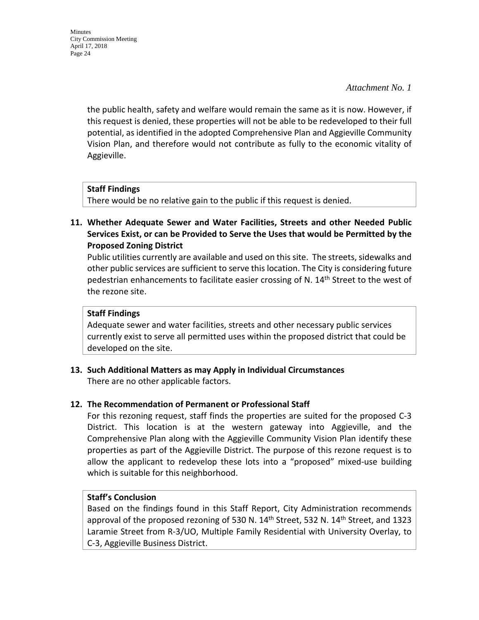*Attachment No. 1* 

the public health, safety and welfare would remain the same as it is now. However, if this request is denied, these properties will not be able to be redeveloped to their full potential, as identified in the adopted Comprehensive Plan and Aggieville Community Vision Plan, and therefore would not contribute as fully to the economic vitality of Aggieville.

# **Staff Findings**

There would be no relative gain to the public if this request is denied.

**11. Whether Adequate Sewer and Water Facilities, Streets and other Needed Public Services Exist, or can be Provided to Serve the Uses that would be Permitted by the Proposed Zoning District**

Public utilities currently are available and used on this site. The streets, sidewalks and other public services are sufficient to serve this location. The City is considering future pedestrian enhancements to facilitate easier crossing of N. 14<sup>th</sup> Street to the west of the rezone site.

## **Staff Findings**

Adequate sewer and water facilities, streets and other necessary public services currently exist to serve all permitted uses within the proposed district that could be developed on the site.

**13. Such Additional Matters as may Apply in Individual Circumstances** There are no other applicable factors.

## **12. The Recommendation of Permanent or Professional Staff**

For this rezoning request, staff finds the properties are suited for the proposed C-3 District. This location is at the western gateway into Aggieville, and the Comprehensive Plan along with the Aggieville Community Vision Plan identify these properties as part of the Aggieville District. The purpose of this rezone request is to allow the applicant to redevelop these lots into a "proposed" mixed-use building which is suitable for this neighborhood.

## **Staff's Conclusion**

Based on the findings found in this Staff Report, City Administration recommends approval of the proposed rezoning of 530 N.  $14<sup>th</sup>$  Street, 532 N.  $14<sup>th</sup>$  Street, and 1323 Laramie Street from R-3/UO, Multiple Family Residential with University Overlay, to C-3, Aggieville Business District.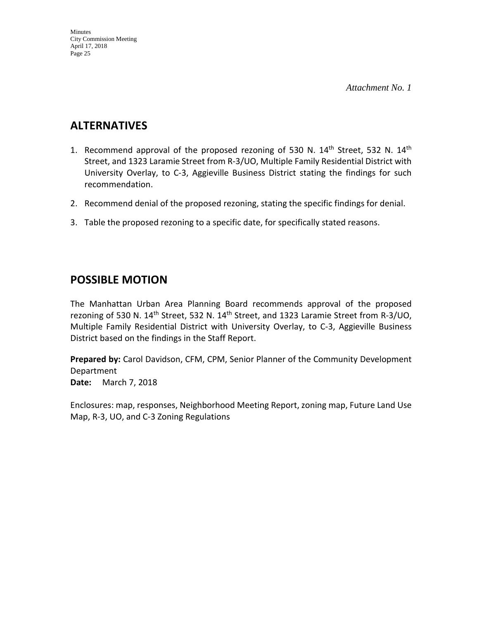# **ALTERNATIVES**

- 1. Recommend approval of the proposed rezoning of 530 N.  $14<sup>th</sup>$  Street, 532 N.  $14<sup>th</sup>$ Street, and 1323 Laramie Street from R-3/UO, Multiple Family Residential District with University Overlay, to C-3, Aggieville Business District stating the findings for such recommendation.
- 2. Recommend denial of the proposed rezoning, stating the specific findings for denial.
- 3. Table the proposed rezoning to a specific date, for specifically stated reasons.

# **POSSIBLE MOTION**

The Manhattan Urban Area Planning Board recommends approval of the proposed rezoning of 530 N. 14<sup>th</sup> Street, 532 N. 14<sup>th</sup> Street, and 1323 Laramie Street from R-3/UO, Multiple Family Residential District with University Overlay, to C-3, Aggieville Business District based on the findings in the Staff Report.

**Prepared by:** Carol Davidson, CFM, CPM, Senior Planner of the Community Development Department

**Date:** March 7, 2018

Enclosures: map, responses, Neighborhood Meeting Report, zoning map, Future Land Use Map, R-3, UO, and C-3 Zoning Regulations